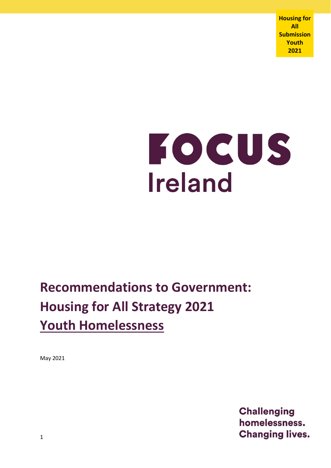**Housing for All Submission Youth 2021**

# FOCUS **Ireland**

## **Recommendations to Government: Housing for All Strategy 2021 Youth Homelessness**

May 2021

**Challenging** homelessness. **Changing lives.**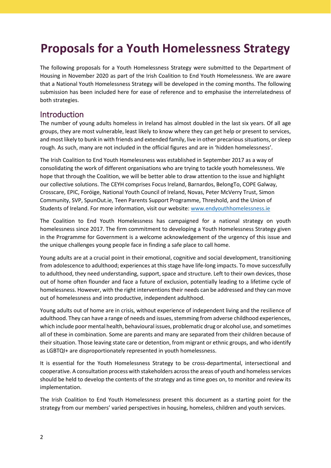### **Proposals for a Youth Homelessness Strategy**

The following proposals for a Youth Homelessness Strategy were submitted to the Department of Housing in November 2020 as part of the Irish Coalition to End Youth Homelessness. We are aware that a National Youth Homelessness Strategy will be developed in the coming months. The following submission has been included here for ease of reference and to emphasise the interrelatedness of both strategies.

#### **Introduction**

The number of young adults homeless in Ireland has almost doubled in the last six years. Of all age groups, they are most vulnerable, least likely to know where they can get help or present to services, and most likely to bunk in with friends and extended family, live in other precarious situations, or sleep rough. As such, many are not included in the official figures and are in 'hidden homelessness'.

The Irish Coalition to End Youth Homelessness was established in September 2017 as a way of consolidating the work of different organisations who are trying to tackle youth homelessness. We hope that through the Coalition, we will be better able to draw attention to the issue and highlight our collective solutions. The CEYH comprises Focus Ireland, Barnardos, BelongTo, COPE Galway, Crosscare, EPIC, Foróige, National Youth Council of Ireland, Novas, Peter McVerry Trust, Simon Community, SVP, SpunOut.ie, Teen Parents Support Programme, Threshold, and the Union of Students of Ireland. For more information, visit our website: [www.endyouthhomelessness.ie](http://www.endyouthhomelessness.ie/)

The Coalition to End Youth Homelessness has campaigned for a national strategy on youth homelessness since 2017. The firm commitment to developing a Youth Homelessness Strategy given in the Programme for Government is a welcome acknowledgement of the urgency of this issue and the unique challenges young people face in finding a safe place to call home.

Young adults are at a crucial point in their emotional, cognitive and social development, transitioning from adolescence to adulthood; experiences at this stage have life-long impacts. To move successfully to adulthood, they need understanding, support, space and structure. Left to their own devices, those out of home often flounder and face a future of exclusion, potentially leading to a lifetime cycle of homelessness. However, with the right interventions their needs can be addressed and they can move out of homelessness and into productive, independent adulthood.

Young adults out of home are in crisis, without experience of independent living and the resilience of adulthood. They can have a range of needs and issues, stemming from adverse childhood experiences, which include poor mental health, behavioural issues, problematic drug or alcohol use, and sometimes all of these in combination. Some are parents and many are separated from their children because of their situation. Those leaving state care or detention, from migrant or ethnic groups, and who identify as LGBTQI+ are disproportionately represented in youth homelessness.

It is essential for the Youth Homelessness Strategy to be cross-departmental, intersectional and cooperative. A consultation process with stakeholders across the areas of youth and homeless services should be held to develop the contents of the strategy and as time goes on, to monitor and review its implementation.

The Irish Coalition to End Youth Homelessness present this document as a starting point for the strategy from our members' varied perspectives in housing, homeless, children and youth services.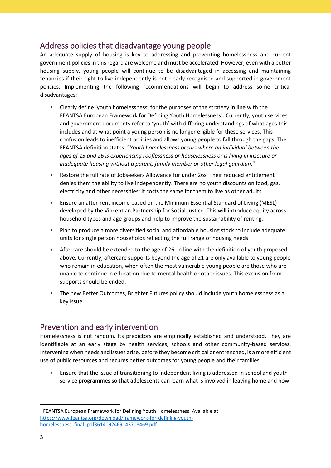#### Address policies that disadvantage young people

An adequate supply of housing is key to addressing and preventing homelessness and current government policies in this regard are welcome and must be accelerated. However, even with a better housing supply, young people will continue to be disadvantaged in accessing and maintaining tenancies if their right to live independently is not clearly recognised and supported in government policies. Implementing the following recommendations will begin to address some critical disadvantages:

- Clearly define 'youth homelessness' for the purposes of the strategy in line with the FEANTSA European Framework for Defining Youth Homelessness<sup>1</sup>. Currently, youth services and government documents refer to 'youth' with differing understandings of what ages this includes and at what point a young person is no longer eligible for these services. This confusion leads to inefficient policies and allows young people to fall through the gaps. The FEANTSA definition states: "*Youth homelessness occurs where an individual between the ages of 13 and 26 is experiencing rooflessness or houselessness or is living in insecure or inadequate housing without a parent, family member or other legal guardian*."
- Restore the full rate of Jobseekers Allowance for under 26s. Their reduced entitlement denies them the ability to live independently. There are no youth discounts on food, gas, electricity and other necessities: it costs the same for them to live as other adults.
- Ensure an after-rent income based on the Minimum Essential Standard of Living (MESL) developed by the Vincentian Partnership for Social Justice. This will introduce equity across household types and age groups and help to improve the sustainability of renting.
- Plan to produce a more diversified social and affordable housing stock to include adequate units for single person households reflecting the full range of housing needs.
- Aftercare should be extended to the age of 26, in line with the definition of youth proposed above. Currently, aftercare supports beyond the age of 21 are only available to young people who remain in education, when often the most vulnerable young people are those who are unable to continue in education due to mental health or other issues. This exclusion from supports should be ended.
- The new Better Outcomes, Brighter Futures policy should include youth homelessness as a key issue.

#### Prevention and early intervention

Homelessness is not random. Its predictors are empirically established and understood. They are identifiable at an early stage by health services, schools and other community-based services. Intervening when needs and issues arise, before they become critical or entrenched, is a more efficient use of public resources and secures better outcomes for young people and their families.

• Ensure that the issue of transitioning to independent living is addressed in school and youth service programmes so that adolescents can learn what is involved in leaving home and how

**.** 

<sup>&</sup>lt;sup>1</sup> FEANTSA European Framework for Defining Youth Homelessness. Available at: [https://www.feantsa.org/download/framework-for-defining-youth](https://www.feantsa.org/download/framework-for-defining-youth-homelessness_final_pdf3614092469143708469.pdf)[homelessness\\_final\\_pdf3614092469143708469.pdf](https://www.feantsa.org/download/framework-for-defining-youth-homelessness_final_pdf3614092469143708469.pdf)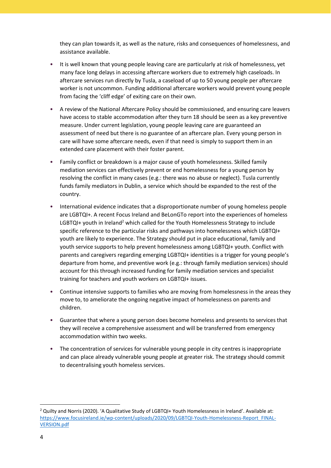they can plan towards it, as well as the nature, risks and consequences of homelessness, and assistance available.

- It is well known that young people leaving care are particularly at risk of homelessness, yet many face long delays in accessing aftercare workers due to extremely high caseloads. In aftercare services run directly by Tusla, a caseload of up to 50 young people per aftercare worker is not uncommon. Funding additional aftercare workers would prevent young people from facing the 'cliff edge' of exiting care on their own.
- A review of the National Aftercare Policy should be commissioned, and ensuring care leavers have access to stable accommodation after they turn 18 should be seen as a key preventive measure. Under current legislation, young people leaving care are guaranteed an assessment of need but there is no guarantee of an aftercare plan. Every young person in care will have some aftercare needs, even if that need is simply to support them in an extended care placement with their foster parent.
- Family conflict or breakdown is a major cause of youth homelessness. Skilled family mediation services can effectively prevent or end homelessness for a young person by resolving the conflict in many cases (e.g.: there was no abuse or neglect). Tusla currently funds family mediators in Dublin, a service which should be expanded to the rest of the country.
- International evidence indicates that a disproportionate number of young homeless people are LGBTQI+. A recent Focus Ireland and BeLonGTo report into the experiences of homeless  $LGBTQI+$  youth in Ireland<sup>2</sup> which called for the Youth Homelessness Strategy to include specific reference to the particular risks and pathways into homelessness which LGBTQI+ youth are likely to experience. The Strategy should put in place educational, family and youth service supports to help prevent homelessness among LGBTQI+ youth. Conflict with parents and caregivers regarding emerging LGBTQI+ identities is a trigger for young people's departure from home, and preventive work (e.g.: through family mediation services) should account for this through increased funding for family mediation services and specialist training for teachers and youth workers on LGBTQI+ issues.
- Continue intensive supports to families who are moving from homelessness in the areas they move to, to ameliorate the ongoing negative impact of homelessness on parents and children.
- Guarantee that where a young person does become homeless and presents to services that they will receive a comprehensive assessment and will be transferred from emergency accommodation within two weeks.
- The concentration of services for vulnerable young people in city centres is inappropriate and can place already vulnerable young people at greater risk. The strategy should commit to decentralising youth homeless services.

**.** 

<sup>&</sup>lt;sup>2</sup> Quilty and Norris (2020). 'A Qualitative Study of LGBTQI+ Youth Homelessness in Ireland'. Available at: [https://www.focusireland.ie/wp-content/uploads/2020/09/LGBTQI-Youth-Homelessness-Report\\_FINAL-](https://focusireland-old.gdlindev.net/wp-content/uploads/2020/09/LGBTQI-Youth-Homelessness-Report_FINAL-VERSION.pdf)[VERSION.pdf](https://focusireland-old.gdlindev.net/wp-content/uploads/2020/09/LGBTQI-Youth-Homelessness-Report_FINAL-VERSION.pdf)